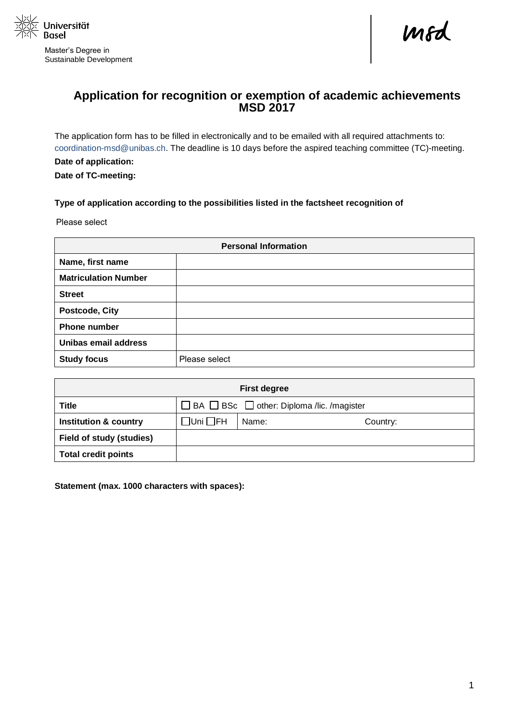

Master's Degree in Sustainable Development

mod

## **Application for recognition or exemption of academic achievements MSD 2017**

The application form has to be filled in electronically and to be emailed with all required attachments to: [coordination-msd@unibas.ch.](mailto:coordination-msd@unibas.ch) The deadline is 10 days before the aspired teaching committee (TC)-meeting. **Date of application:**

**Date of TC-meeting:**

## **Type of application according to the possibilities listed in the factsheet recognition of**

Please select

| <b>Personal Information</b> |               |  |  |  |  |  |
|-----------------------------|---------------|--|--|--|--|--|
| Name, first name            |               |  |  |  |  |  |
| <b>Matriculation Number</b> |               |  |  |  |  |  |
| <b>Street</b>               |               |  |  |  |  |  |
| Postcode, City              |               |  |  |  |  |  |
| Phone number                |               |  |  |  |  |  |
| Unibas email address        |               |  |  |  |  |  |
| <b>Study focus</b>          | Please select |  |  |  |  |  |

| <b>First degree</b>              |                                                            |       |          |  |  |  |  |  |  |  |
|----------------------------------|------------------------------------------------------------|-------|----------|--|--|--|--|--|--|--|
| <b>Title</b>                     | $\Box$ BA $\Box$ BSc $\Box$ other: Diploma /lic. /magister |       |          |  |  |  |  |  |  |  |
| <b>Institution &amp; country</b> | $\square$ Uni $\square$ FH                                 | Name: | Country: |  |  |  |  |  |  |  |
| <b>Field of study (studies)</b>  |                                                            |       |          |  |  |  |  |  |  |  |
| <b>Total credit points</b>       |                                                            |       |          |  |  |  |  |  |  |  |

**Statement (max. 1000 characters with spaces):**